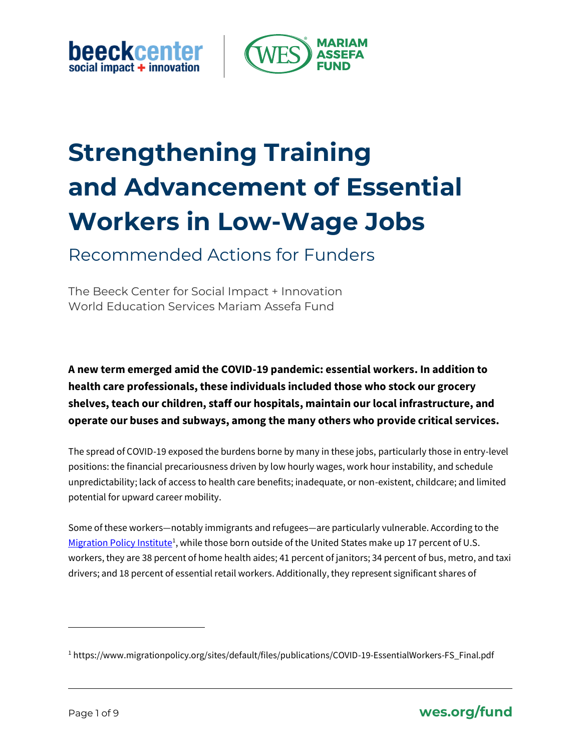**beeckcenter** social impact + innovation



# **Strengthening Training and Advancement of Essential Workers in Low-Wage Jobs**

Recommended Actions for Funders

The Beeck Center for Social Impact + Innovation World Education Services Mariam Assefa Fund

**A new term emerged amid the COVID-19 pandemic: essential workers. In addition to health care professionals, these individuals included those who stock our grocery shelves, teach our children, staff our hospitals, maintain our local infrastructure, and operate our buses and subways, among the many others who provide critical services.** 

The spread of COVID-19 exposed the burdens borne by many in these jobs, particularly those in entry-level positions: the financial precariousness driven by low hourly wages, work hour instability, and schedule unpredictability; lack of access to health care benefits; inadequate, or non-existent, childcare; and limited potential for upward career mobility.

Some of these workers—notably immigrants and refugees—are particularly vulnerable. According to the [Migration Policy Institute](https://www.migrationpolicy.org/research/immigrant-workers-us-covid-19-response)<sup>1</sup>, while those born outside of the United States make up 17 percent of U.S. workers, they are 38 percent of home health aides; 41 percent of janitors; 34 percent of bus, metro, and taxi drivers; and 18 percent of essential retail workers. Additionally, they represent significant shares of



<sup>1</sup> https://www.migrationpolicy.org/sites/default/files/publications/COVID-19-EssentialWorkers-FS\_Final.pdf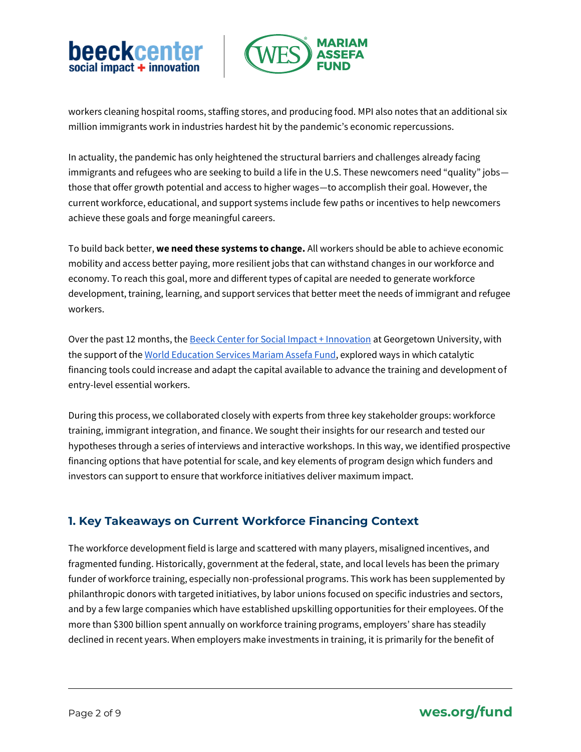



workers cleaning hospital rooms, staffing stores, and producing food. MPI also notes that an additional six million immigrants work in industries hardest hit by the pandemic's economic repercussions.

In actuality, the pandemic has only heightened the structural barriers and challenges already facing immigrants and refugees who are seeking to build a life in the U.S. These newcomers need "quality" jobs those that offer growth potential and access to higher wages—to accomplish their goal. However, the current workforce, educational, and support systems include few paths or incentives to help newcomers achieve these goals and forge meaningful careers.

To build back better, **we need these systems to change.** All workers should be able to achieve economic mobility and access better paying, more resilient jobs that can withstand changes in our workforce and economy. To reach this goal, more and different types of capital are needed to generate workforce development, training, learning, and support services that better meet the needs of immigrant and refugee workers.

Over the past 12 months, the [Beeck Center for Social Impact + Innovation](https://beeckcenter.georgetown.edu/) at Georgetown University, with the support of th[e World Education Services Mariam Assefa Fund,](https://www.wes.org/fund/) explored ways in which catalytic financing tools could increase and adapt the capital available to advance the training and development of entry-level essential workers.

During this process, we collaborated closely with experts from three key stakeholder groups: workforce training, immigrant integration, and finance. We sought their insights for our research and tested our hypotheses through a series of interviews and interactive workshops. In this way, we identified prospective financing options that have potential for scale, and key elements of program design which funders and investors can support to ensure that workforce initiatives deliver maximum impact.

## **1. Key Takeaways on Current Workforce Financing Context**

The workforce development field is large and scattered with many players, misaligned incentives, and fragmented funding. Historically, government at the federal, state, and local levels has been the primary funder of workforce training, especially non-professional programs. This work has been supplemented by philanthropic donors with targeted initiatives, by labor unions focused on specific industries and sectors, and by a few large companies which have established upskilling opportunities for their employees. Of the more than \$300 billion spent annually on workforce training programs, employers' share has steadily declined in recent years. When employers make investments in training, it is primarily for the benefit of

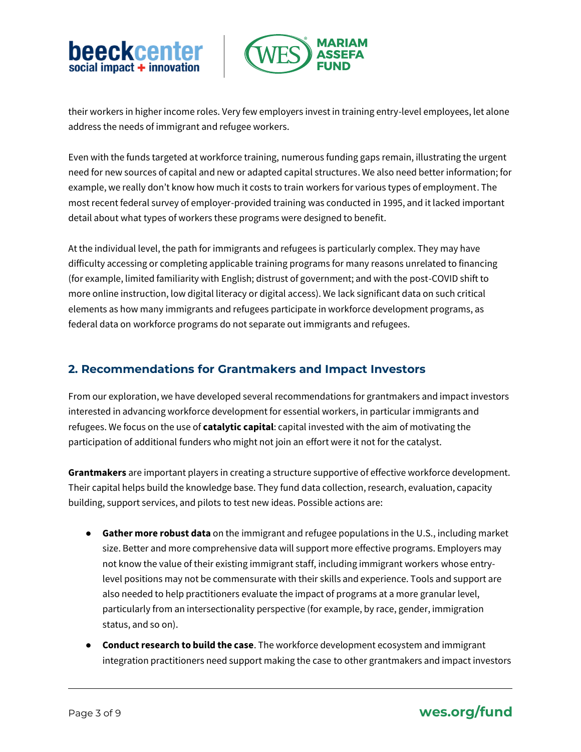



their workers in higher income roles. Very few employers invest in training entry-level employees, let alone address the needs of immigrant and refugee workers.

Even with the funds targeted at workforce training, numerous funding gaps remain, illustrating the urgent need for new sources of capital and new or adapted capital structures. We also need better information; for example, we really don't know how much it costs to train workers for various types of employment. The most recent federal survey of employer-provided training was conducted in 1995, and it lacked important detail about what types of workers these programs were designed to benefit.

At the individual level, the path for immigrants and refugees is particularly complex. They may have difficulty accessing or completing applicable training programs for many reasons unrelated to financing (for example, limited familiarity with English; distrust of government; and with the post-COVID shift to more online instruction, low digital literacy or digital access). We lack significant data on such critical elements as how many immigrants and refugees participate in workforce development programs, as federal data on workforce programs do not separate out immigrants and refugees.

#### **2. Recommendations for Grantmakers and Impact Investors**

From our exploration, we have developed several recommendations for grantmakers and impact investors interested in advancing workforce development for essential workers, in particular immigrants and refugees. We focus on the use of **catalytic capital**: capital invested with the aim of motivating the participation of additional funders who might not join an effort were it not for the catalyst.

**Grantmakers** are important players in creating a structure supportive of effective workforce development. Their capital helps build the knowledge base. They fund data collection, research, evaluation, capacity building, support services, and pilots to test new ideas. Possible actions are:

- **Gather more robust data** on the immigrant and refugee populations in the U.S., including market size. Better and more comprehensive data will support more effective programs. Employers may not know the value of their existing immigrant staff, including immigrant workers whose entrylevel positions may not be commensurate with their skills and experience. Tools and support are also needed to help practitioners evaluate the impact of programs at a more granular level, particularly from an intersectionality perspective (for example, by race, gender, immigration status, and so on).
- **Conduct research to build the case**. The workforce development ecosystem and immigrant integration practitioners need support making the case to other grantmakers and impact investors

## Page 3 of 9 **wes.org/fund**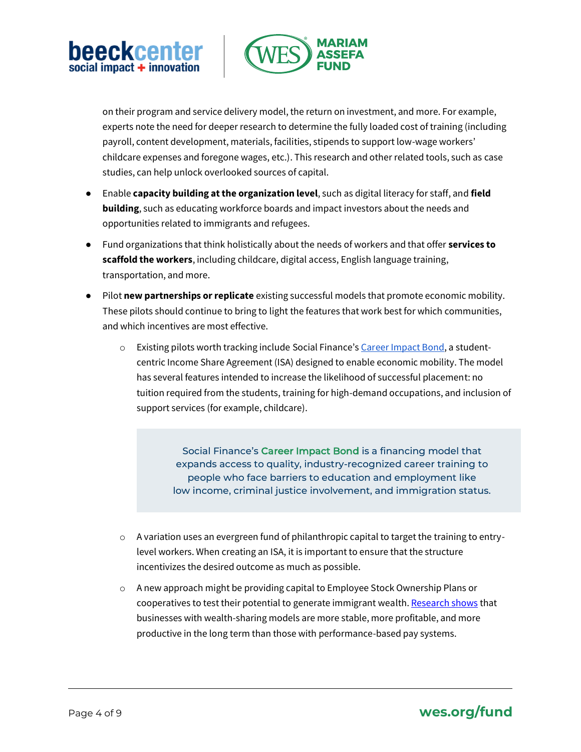



on their program and service delivery model, the return on investment, and more. For example, experts note the need for deeper research to determine the fully loaded cost of training (including payroll, content development, materials, facilities, stipends to support low-wage workers' childcare expenses and foregone wages, etc.). This research and other related tools, such as case studies, can help unlock overlooked sources of capital.

- Enable **capacity building at the organization level**, such as digital literacy for staff, and **field building**, such as educating workforce boards and impact investors about the needs and opportunities related to immigrants and refugees.
- Fund organizations that think holistically about the needs of workers and that offer **services to scaffold the workers**, including childcare, digital access, English language training, transportation, and more.
- Pilot **new partnerships or replicate** existing successful models that promote economic mobility. These pilots should continue to bring to light the features that work best for which communities, and which incentives are most effective.
	- o Existing pilots worth tracking include Social Finance's [Career Impact Bond,](https://socialfinance.org/career-impact-bonds/) a studentcentric Income Share Agreement (ISA) designed to enable economic mobility. The model has several features intended to increase the likelihood of successful placement: no tuition required from the students, training for high-demand occupations, and inclusion of support services (for example, childcare).

Social Finance's Career Impact Bond is a financing model that expands access to quality, industry-recognized career training to people who face barriers to education and employment like low income, criminal justice involvement, and immigration status.

- $\circ$  A variation uses an evergreen fund of philanthropic capital to target the training to entrylevel workers. When creating an ISA, it is important to ensure that the structure incentivizes the desired outcome as much as possible.
- o A new approach might be providing capital to Employee Stock Ownership Plans or cooperatives to test their potential to generate immigrant wealth[. Research shows](https://www.ownershipeconomy.org/wp-content/uploads/2017/05/employee_ownership_and_economic_wellbeing_2017.pdf) that businesses with wealth-sharing models are more stable, more profitable, and more productive in the long term than those with performance-based pay systems.

## Page 4 of 9 **wes.org/fund**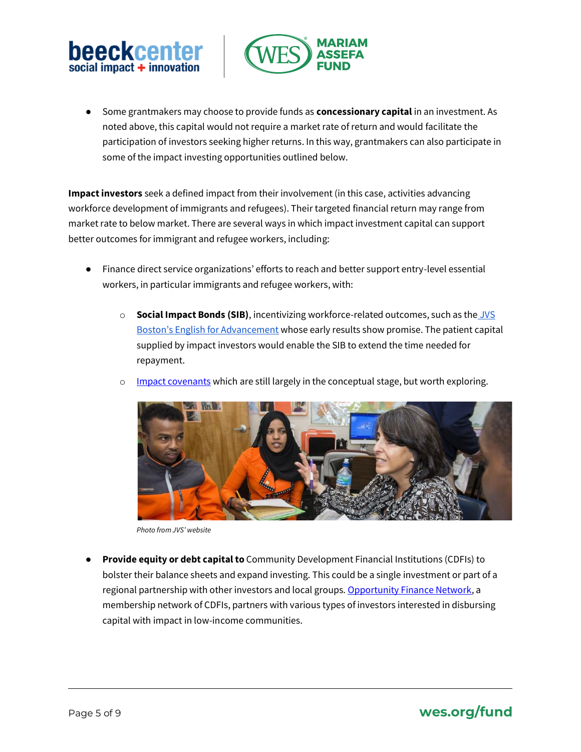



● Some grantmakers may choose to provide funds as **concessionary capital** in an investment. As noted above, this capital would not require a market rate of return and would facilitate the participation of investors seeking higher returns. In this way, grantmakers can also participate in some of the impact investing opportunities outlined below.

**Impact investors** seek a defined impact from their involvement (in this case, activities advancing workforce development of immigrants and refugees). Their targeted financial return may range from market rate to below market. There are several ways in which impact investment capital can support better outcomes for immigrant and refugee workers, including:

- Finance direct service organizations' efforts to reach and better support entry-level essential workers, in particular immigrants and refugee workers, with:
	- o **Social Impact Bonds (SIB)**, incentivizing workforce-related outcomes, such as th[e](https://economicmobilitycorp.org/stepping-interim-findings-jvs-bostons-english-advancement-show-large-earnings-gains/) [JVS](https://economicmobilitycorp.org/stepping-interim-findings-jvs-bostons-english-advancement-show-large-earnings-gains/)  [Boston's English for Advancement](https://economicmobilitycorp.org/stepping-interim-findings-jvs-bostons-english-advancement-show-large-earnings-gains/) whose early results show promise. The patient capital supplied by impact investors would enable the SIB to extend the time needed for repayment.
	- o [Impact covenants](https://www.confluencephilanthropy.org/-Impact-Covenants-Term-Sheets-As-Tools-For-Change) which are still largely in the conceptual stage, but worth exploring.



*Photo from JVS' website*

● **Provide equity or debt capital to** Community Development Financial Institutions (CDFIs) to bolster their balance sheets and expand investing. This could be a single investment or part of a regional partnership with other investors and local groups. [Opportunity Finance Network,](https://ofn.org/about) a membership network of CDFIs, partners with various types of investors interested in disbursing capital with impact in low-income communities.

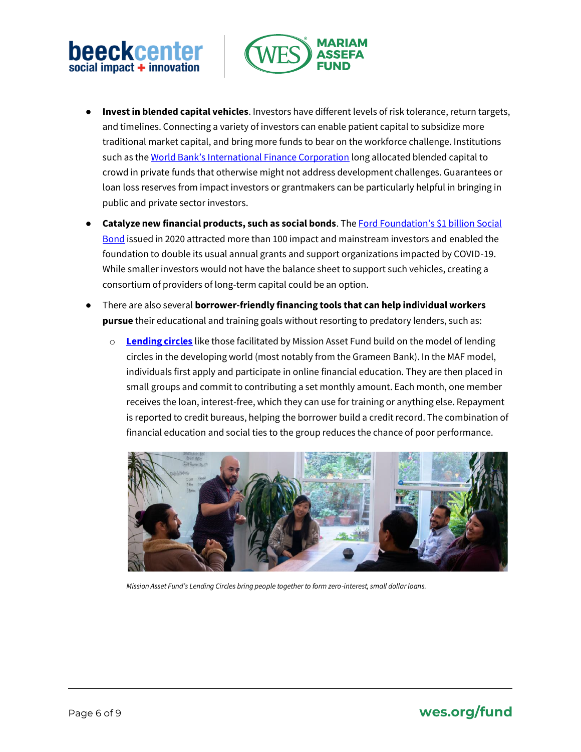# beeckcenter social impact  $+$  innovation



- **Invest in blended capital vehicles**. Investors have different levels of risk tolerance, return targets, and timelines. Connecting a variety of investors can enable patient capital to subsidize more traditional market capital, and bring more funds to bear on the workforce challenge. Institutions such as the [World Bank's International Finance Corporation](https://www.ifc.org/wps/wcm/connect/CORP_EXT_Content/IFC_External_Corporate_Site/Solutions/Products+and+Services/Blended-Finance) long allocated blended capital to crowd in private funds that otherwise might not address development challenges. Guarantees or loan loss reserves from impact investors or grantmakers can be particularly helpful in bringing in public and private sector investors.
- **Catalyze new financial products, such as social bonds**. The **Ford Foundation's \$1 billion Social** [Bond](https://www.fordfoundation.org/the-latest/news/ford-foundation-announces-sale-and-pricing-of-landmark-1-billion-social-bonds/) issued in 2020 attracted more than 100 impact and mainstream investors and enabled the foundation to double its usual annual grants and support organizations impacted by COVID-19. While smaller investors would not have the balance sheet to support such vehicles, creating a consortium of providers of long-term capital could be an option.
- There are also several **borrower-friendly financing tools that can help individual workers pursue** their educational and training goals without resorting to predatory lenders, such as:
	- o **[Lending circles](https://missionassetfund.org/lending-circles/)** like those facilitated by Mission Asset Fund build on the model of lending circles in the developing world (most notably from the Grameen Bank). In the MAF model, individuals first apply and participate in online financial education. They are then placed in small groups and commit to contributing a set monthly amount. Each month, one member receives the loan, interest-free, which they can use for training or anything else. Repayment is reported to credit bureaus, helping the borrower build a credit record. The combination of financial education and social ties to the group reduces the chance of poor performance.



*Mission Asset Fund's Lending Circles bring people together to form zero-interest, small dollar loans.*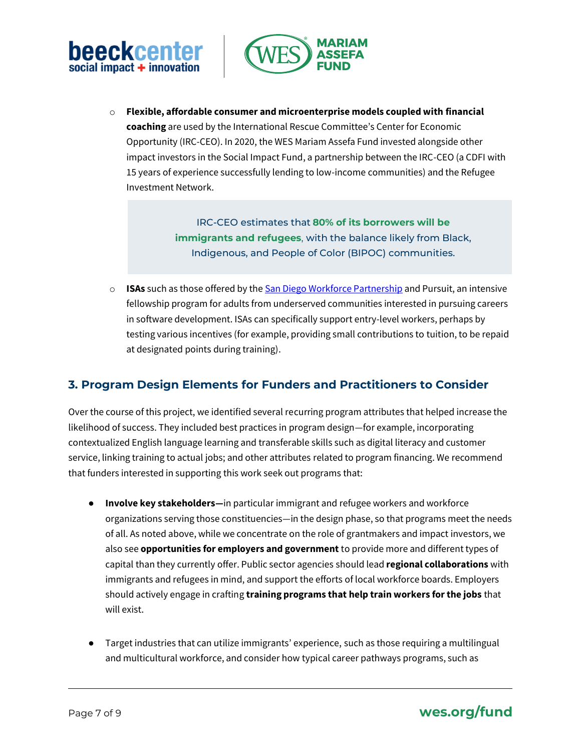



o **Flexible, affordable consumer and microenterprise models coupled with financial coaching** are used by the International Rescue Committee's Center for Economic Opportunity (IRC-CEO). In 2020, the WES Mariam Assefa Fund invested alongside other impact investors in the Social Impact Fund, a partnership between the IRC-CEO (a CDFI with 15 years of experience successfully lending to low-income communities) and the Refugee Investment Network.

> IRC-CEO estimates that **80% of its borrowers will be immigrants and refugees**, with the balance likely from Black, Indigenous, and People of Color (BIPOC) communities.

o **ISAs** such as those offered by th[e San Diego Workforce Partnership](https://workforce.org/isa/) and Pursuit, an intensive fellowship program for adults from underserved communities interested in pursuing careers in software development. ISAs can specifically support entry-level workers, perhaps by testing various incentives (for example, providing small contributions to tuition, to be repaid at designated points during training).

## **3. Program Design Elements for Funders and Practitioners to Consider**

Over the course of this project, we identified several recurring program attributes that helped increase the likelihood of success. They included best practices in program design—for example, incorporating contextualized English language learning and transferable skills such as digital literacy and customer service, linking training to actual jobs; and other attributes related to program financing. We recommend that funders interested in supporting this work seek out programs that:

- **Involve key stakeholders—**in particular immigrant and refugee workers and workforce organizations serving those constituencies—in the design phase, so that programs meet the needs of all. As noted above, while we concentrate on the role of grantmakers and impact investors, we also see **opportunities for employers and government** to provide more and different types of capital than they currently offer. Public sector agencies should lead **regional collaborations** with immigrants and refugees in mind, and support the efforts of local workforce boards. Employers should actively engage in crafting **training programs that help train workers for the jobs** that will exist.
- Target industries that can utilize immigrants' experience, such as those requiring a multilingual and multicultural workforce, and consider how typical career pathways programs, such as

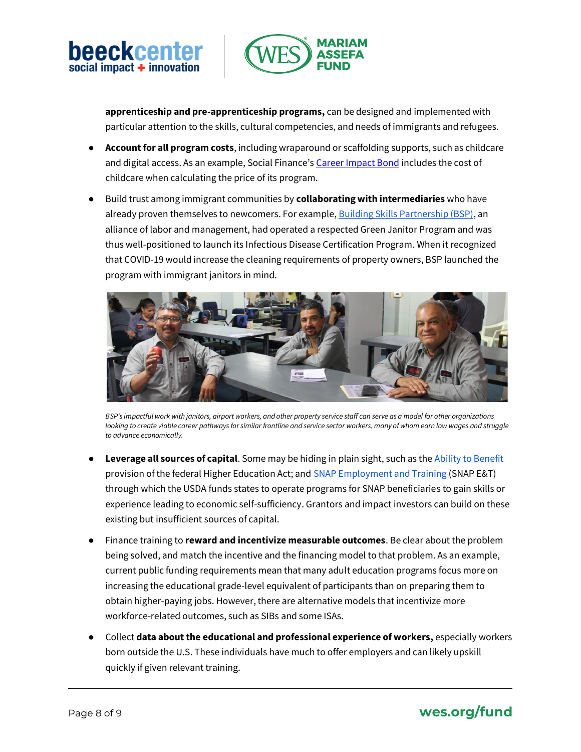



**apprenticeship and pre-apprenticeship programs,** can be designed and implemented with particular attention to the skills, cultural competencies, and needs of immigrants and refugees.

- **Account for all program costs**, including wraparound or scaffolding supports, such as childcare and digital access. As an example, Social Finance's [Career Impact Bond](https://socialfinance.org/career-impact-bonds/) includes the cost of childcare when calculating the price of its program.
- Build trust among immigrant communities by **collaborating with intermediaries** who have already proven themselves to newcomers. For example, [Building Skills Partnership \(BSP\),](https://www.buildingskills.org/) an alliance of labor and management, had operated a respected Green Janitor Program and was thus well-positioned to launch its Infectious Disease Certification Program. When it recognized that COVID-19 would increase the cleaning requirements of property owners, BSP launched the program with immigrant janitors in mind.



*BSP's impactful work with janitors, airport workers, and other property service staff can serve as a model for other organizations*  looking to create viable career pathways for similar frontline and service sector workers, many of whom earn low wages and struggle *to advance economically.*

- Leverage all sources of capital. Some may be hiding in plain sight, such as the [Ability to Benefit](https://www.clasp.org/blog/federal-guidance-explains-how-ability-benefit-provision-aligns-career-pathway#:~:text=The%20Ability%20to%20Benefit%20(ATB,lift%20them%20out%20of%20poverty.&text=The%20new%20definition%20provides%20that,high%20school%20diploma%20or%20equivalency.) provision of the federal Higher Education Act; and **SNAP Employment and Training (SNAP E&T)** through which the USDA funds states to operate programs for SNAP beneficiaries to gain skills or experience leading to economic self-sufficiency. Grantors and impact investors can build on these existing but insufficient sources of capital.
- Finance training to **reward and incentivize measurable outcomes**. Be clear about the problem being solved, and match the incentive and the financing model to that problem. As an example, current public funding requirements mean that many adult education programs focus more on increasing the educational grade-level equivalent of participants than on preparing them to obtain higher-paying jobs. However, there are alternative models that incentivize more workforce-related outcomes, such as SIBs and some ISAs.
- Collect **data about the educational and professional experience of workers,** especially workers born outside the U.S. These individuals have much to offer employers and can likely upskill quickly if given relevant training.